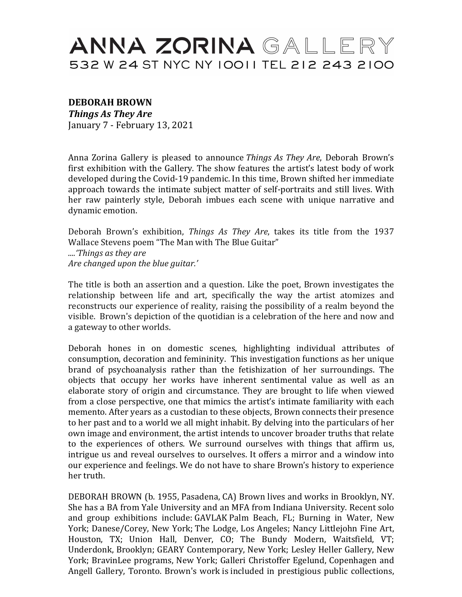## ANNA ZORINA GALLERY 532 W 24 ST NYC NY 10011 TEL 212 243 2100

## **DEBORAH BROWN**

*Things As They Are* January 7 - February 13, 2021

Anna Zorina Gallery is pleased to announce *Things As They Are*, Deborah Brown's first exhibition with the Gallery. The show features the artist's latest body of work developed during the Covid-19 pandemic. In this time, Brown shifted her immediate approach towards the intimate subject matter of self-portraits and still lives. With her raw painterly style, Deborah imbues each scene with unique narrative and dynamic emotion.

Deborah Brown's exhibition, *Things As They Are*, takes its title from the 1937 Wallace Stevens poem "The Man with The Blue Guitar"

*....'Things as they are* Are changed upon the blue guitar.'

The title is both an assertion and a question. Like the poet, Brown investigates the relationship between life and art, specifically the way the artist atomizes and reconstructs our experience of reality, raising the possibility of a realm beyond the visible. Brown's depiction of the quotidian is a celebration of the here and now and a gateway to other worlds.

Deborah hones in on domestic scenes, highlighting individual attributes of consumption, decoration and femininity. This investigation functions as her unique brand of psychoanalysis rather than the fetishization of her surroundings. The objects that occupy her works have inherent sentimental value as well as an elaborate story of origin and circumstance. They are brought to life when viewed from a close perspective, one that mimics the artist's intimate familiarity with each memento. After years as a custodian to these objects, Brown connects their presence to her past and to a world we all might inhabit. By delving into the particulars of her own image and environment, the artist intends to uncover broader truths that relate to the experiences of others. We surround ourselves with things that affirm us, intrigue us and reveal ourselves to ourselves. It offers a mirror and a window into our experience and feelings. We do not have to share Brown's history to experience her truth.

DEBORAH BROWN (b. 1955, Pasadena, CA) Brown lives and works in Brooklyn, NY. She has a BA from Yale University and an MFA from Indiana University. Recent solo and group exhibitions include: GAVLAK Palm Beach, FL; Burning in Water, New York; Danese/Corey, New York; The Lodge, Los Angeles; Nancy Littlejohn Fine Art, Houston, TX; Union Hall, Denver, CO; The Bundy Modern, Waitsfield, VT; Underdonk, Brooklyn; GEARY Contemporary, New York; Lesley Heller Gallery, New York; BravinLee programs, New York; Galleri Christoffer Egelund, Copenhagen and Angell Gallery, Toronto. Brown's work is included in prestigious public collections,